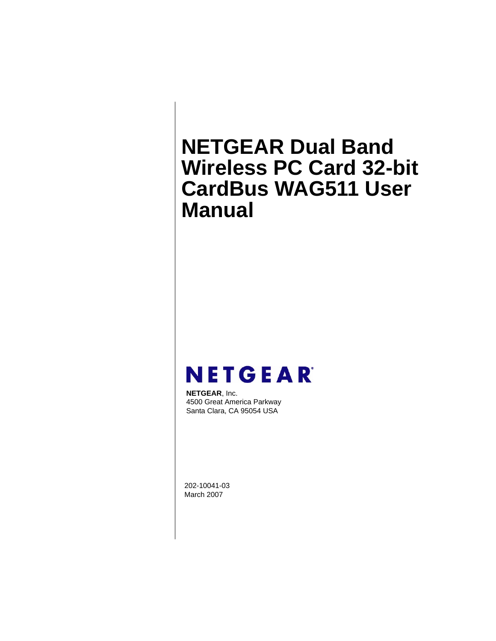# **NETGEAR Dual Band Wireless PC Card 32-bit CardBus WAG511 User Manual**

# NETGEAR

**NETGEAR**, Inc. 4500 Great America Parkway Santa Clara, CA 95054 USA

202-10041-03 March 2007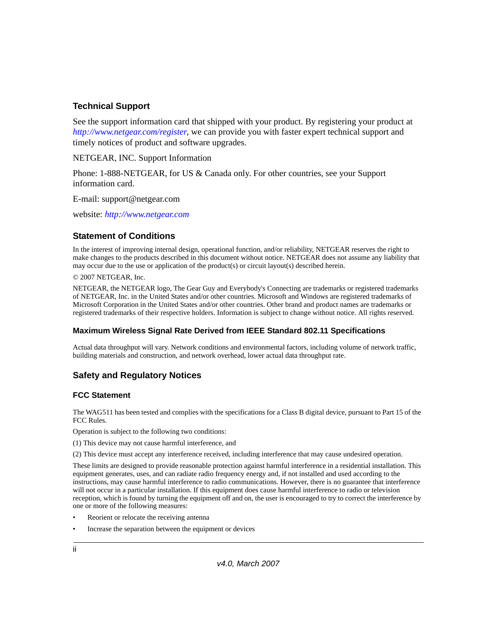#### **Technical Support**

See the support information card that shipped with your product. By registering your product at *<http://www.netgear.com/register>*, we can provide you with faster expert technical support and timely notices of product and software upgrades.

NETGEAR, INC. Support Information

Phone: 1-888-NETGEAR, for US & Canada only. For other countries, see your Support information card.

E-mail: support@netgear.com

website:*<http://www.netgear.com>*

#### **Statement of Conditions**

In the interest of improving internal design, operational function, and/or reliability, NETGEAR reserves the right to make changes to the products described in this document without notice. NETGEAR does not assume any liability that may occur due to the use or application of the product(s) or circuit layout(s) described herein.

© 2007 NETGEAR, Inc.

NETGEAR, the NETGEAR logo, The Gear Guy and Everybody's Connecting are trademarks or registered trademarks of NETGEAR, Inc. in the United States and/or other countries. Microsoft and Windows are registered trademarks of Microsoft Corporation in the United States and/or other countries. Other brand and product names are trademarks or registered trademarks of their respective holders. Information is subject to change without notice. All rights reserved.

#### **Maximum Wireless Signal Rate Derived from IEEE Standard 802.11 Specifications**

Actual data throughput will vary. Network conditions and environmental factors, including volume of network traffic, building materials and construction, and network overhead, lower actual data throughput rate.

#### **Safety and Regulatory Notices**

#### **FCC Statement**

The WAG511 has been tested and complies with the specifications for a Class B digital device, pursuant to Part 15 of the FCC Rules.

Operation is subject to the following two conditions:

(1) This device may not cause harmful interference, and

(2) This device must accept any interference received, including interference that may cause undesired operation.

These limits are designed to provide reasonable protection against harmful interference in a residential installation. This equipment generates, uses, and can radiate radio frequency energy and, if not installed and used according to the instructions, may cause harmful interference to radio communications. However, there is no guarantee that interference will not occur in a particular installation. If this equipment does cause harmful interference to radio or television reception, which is found by turning the equipment off and on, the user is encouraged to try to correct the interference by one or more of the following measures:

- Reorient or relocate the receiving antenna
- Increase the separation between the equipment or devices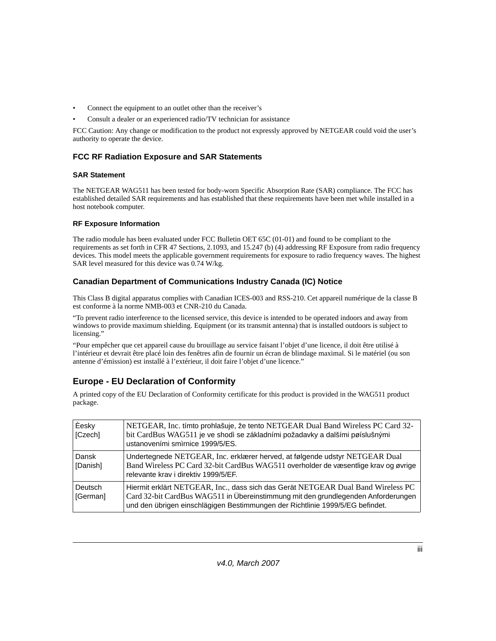- Connect the equipment to an outlet other than the receiver's
- Consult a dealer or an experienced radio/TV technician for assistance

FCC Caution: Any change or modification to the product not expressly approved by NETGEAR could void the user's authority to operate the device.

#### **FCC RF Radiation Exposure and SAR Statements**

#### **SAR Statement**

The NETGEAR WAG511 has been tested for body-worn Specific Absorption Rate (SAR) compliance. The FCC has established detailed SAR requirements and has established that these requirements have been met while installed in a host notebook computer.

#### **RF Exposure Information**

The radio module has been evaluated under FCC Bulletin OET 65C (01-01) and found to be compliant to the requirements as set forth in CFR 47 Sections, 2.1093, and 15.247 (b) (4) addressing RF Exposure from radio frequency devices. This model meets the applicable government requirements for exposure to radio frequency waves. The highest SAR level measured for this device was 0.74 W/kg.

#### **Canadian Department of Communications Industry Canada (IC) Notice**

This Class B digital apparatus complies with Canadian ICES-003 and RSS-210. Cet appareil numérique de la classe B est conforme à la norme NMB-003 et CNR-210 du Canada.

"To prevent radio interference to the licensed service, this device is intended to be operated indoors and away from windows to provide maximum shielding. Equipment (or its transmit antenna) that is installed outdoors is subject to licensing."

"Pour empêcher que cet appareil cause du brouillage au service faisant l'objet d'une licence, il doit être utilisé à l'intérieur et devrait être placé loin des fenêtres afin de fournir un écran de blindage maximal. Si le matériel (ou son antenne d'émission) est installé à l'extérieur, il doit faire l'objet d'une licence."

#### **Europe - EU Declaration of Conformity**

A printed copy of the EU Declaration of Conformity certificate for this product is provided in the WAG511 product package.

| Èesky<br>[Czech]           | NETGEAR, Inc. tímto prohlašuje, že tento NETGEAR Dual Band Wireless PC Card 32-<br>bit CardBus WAG511 je ve shodì se základními požadavky a dalšími pøíslušnými<br>ustanoveními smìrnice 1999/5/ES.                                                    |
|----------------------------|--------------------------------------------------------------------------------------------------------------------------------------------------------------------------------------------------------------------------------------------------------|
| Dansk<br>[Danish]          | Undertegnede NETGEAR, Inc. erklærer herved, at følgende udstyr NETGEAR Dual<br>Band Wireless PC Card 32-bit CardBus WAG511 overholder de væsentlige krav og øvrige<br>relevante krav i direktiv 1999/5/EF.                                             |
| <b>Deutsch</b><br>[German] | Hiermit erklärt NETGEAR, Inc., dass sich das Gerät NETGEAR Dual Band Wireless PC<br>Card 32-bit CardBus WAG511 in Übereinstimmung mit den grundlegenden Anforderungen<br>und den übrigen einschlägigen Bestimmungen der Richtlinie 1999/5/EG befindet. |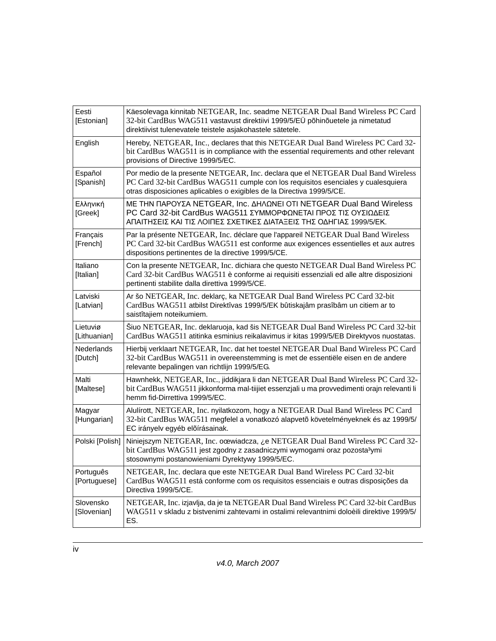| Eesti<br>[Estonian]       | Käesolevaga kinnitab NETGEAR, Inc. seadme NETGEAR Dual Band Wireless PC Card<br>32-bit CardBus WAG511 vastavust direktiivi 1999/5/EÜ põhinõuetele ja nimetatud<br>direktiivist tulenevatele teistele asjakohastele sätetele.                   |
|---------------------------|------------------------------------------------------------------------------------------------------------------------------------------------------------------------------------------------------------------------------------------------|
| English                   | Hereby, NETGEAR, Inc., declares that this NETGEAR Dual Band Wireless PC Card 32-<br>bit CardBus WAG511 is in compliance with the essential requirements and other relevant<br>provisions of Directive 1999/5/EC.                               |
| Español<br>[Spanish]      | Por medio de la presente NETGEAR, Inc. declara que el NETGEAR Dual Band Wireless<br>PC Card 32-bit CardBus WAG511 cumple con los requisitos esenciales y cualesquiera<br>otras disposiciones aplicables o exigibles de la Directiva 1999/5/CE. |
| Ελληνική<br>[Greek]       | ΜΕ ΤΗΝ ΠΑΡΟΥΣΑ NETGEAR, Inc. ΔΗΛΩΝΕΙ ΟΤΙ NETGEAR Dual Band Wireless<br>PC Card 32-bit CardBus WAG511 ΣΥΜΜΟΡΦΩΝΕΤΑΙ ΠΡΟΣ ΤΙΣ ΟΥΣΙΩΔΕΙΣ<br>ΑΠΑΙΤΗΣΕΙΣ ΚΑΙ ΤΙΣ ΛΟΙΠΕΣ ΣΧΕΤΙΚΕΣ ΔΙΑΤΑΞΕΙΣ ΤΗΣ ΟΔΗΓΙΑΣ 1999/5/ΕΚ.                                   |
| Français<br>[French]      | Par la présente NETGEAR, Inc. déclare que l'appareil NETGEAR Dual Band Wireless<br>PC Card 32-bit CardBus WAG511 est conforme aux exigences essentielles et aux autres<br>dispositions pertinentes de la directive 1999/5/CE.                  |
| Italiano<br>[Italian]     | Con la presente NETGEAR, Inc. dichiara che questo NETGEAR Dual Band Wireless PC<br>Card 32-bit CardBus WAG511 è conforme ai requisiti essenziali ed alle altre disposizioni<br>pertinenti stabilite dalla direttiva 1999/5/CE.                 |
| Latviski<br>[Latvian]     | Ar šo NETGEAR, Inc. deklarç, ka NETGEAR Dual Band Wireless PC Card 32-bit<br>CardBus WAG511 atbilst Direktîvas 1999/5/EK bûtiskajâm prasîbâm un citiem ar to<br>saistîtajiem noteikumiem.                                                      |
| Lietuviø<br>[Lithuanian]  | Šiuo NETGEAR, Inc. deklaruoja, kad šis NETGEAR Dual Band Wireless PC Card 32-bit<br>CardBus WAG511 atitinka esminius reikalavimus ir kitas 1999/5/EB Direktyvos nuostatas.                                                                     |
| Nederlands<br>[Dutch]     | Hierbij verklaart NETGEAR, Inc. dat het toestel NETGEAR Dual Band Wireless PC Card<br>32-bit CardBus WAG511 in overeenstemming is met de essentiële eisen en de andere<br>relevante bepalingen van richtlijn 1999/5/EG.                        |
| Malti<br>[Maltese]        | Hawnhekk, NETGEAR, Inc., jiddikjara li dan NETGEAR Dual Band Wireless PC Card 32-<br>bit CardBus WAG511 jikkonforma mal-tiijiet essenzjali u ma provvedimenti orajn relevanti li<br>hemm fid-Dirrettiva 1999/5/EC.                             |
| Magyar<br>[Hungarian]     | Alulírott, NETGEAR, Inc. nyilatkozom, hogy a NETGEAR Dual Band Wireless PC Card<br>32-bit CardBus WAG511 megfelel a vonatkozó alapvető követelményeknek és az 1999/5/<br>EC irányelv egyéb előírásainak.                                       |
| Polski [Polish]           | Niniejszym NETGEAR, Inc. oœwiadcza, ¿e NETGEAR Dual Band Wireless PC Card 32-<br>bit CardBus WAG511 jest zgodny z zasadniczymi wymogami oraz pozosta <sup>3</sup> ymi<br>stosownymi postanowieniami Dyrektywy 1999/5/EC.                       |
| Português<br>[Portuguese] | NETGEAR, Inc. declara que este NETGEAR Dual Band Wireless PC Card 32-bit<br>CardBus WAG511 está conforme com os requisitos essenciais e outras disposições da<br>Directiva 1999/5/CE.                                                          |
| Slovensko<br>[Slovenian]  | NETGEAR, Inc. izjavlja, da je ta NETGEAR Dual Band Wireless PC Card 32-bit CardBus<br>WAG511 v skladu z bistvenimi zahtevami in ostalimi relevantnimi doloèili direktive 1999/5/<br>ES.                                                        |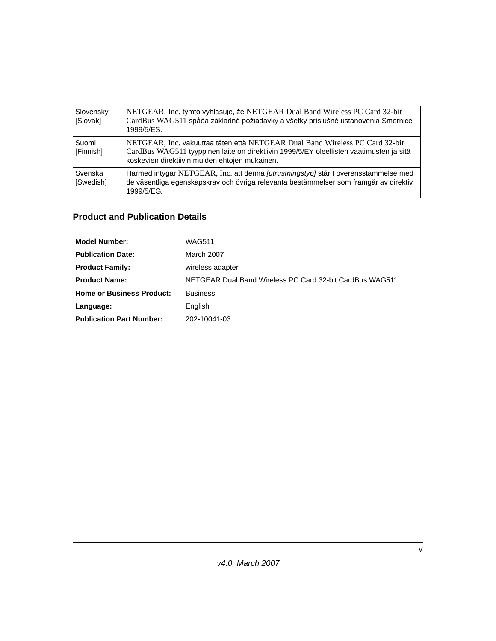| Slovensky<br>[Slovak] | NETGEAR, Inc. týmto vyhlasuje, že NETGEAR Dual Band Wireless PC Card 32-bit<br>CardBus WAG511 spåòa základné požiadavky a všetky príslušné ustanovenia Smernice<br>1999/5/ES.                                             |
|-----------------------|---------------------------------------------------------------------------------------------------------------------------------------------------------------------------------------------------------------------------|
| Suomi<br>[Finnish]    | NETGEAR, Inc. vakuuttaa täten että NETGEAR Dual Band Wireless PC Card 32-bit<br>CardBus WAG511 tyyppinen laite on direktiivin 1999/5/EY oleellisten vaatimusten ja sitä<br>koskevien direktiivin muiden ehtojen mukainen. |
| Svenska<br>[Swedish]  | Härmed intygar NETGEAR, Inc. att denna [utrustningstyp] står I överensstämmelse med<br>de väsentliga egenskapskrav och övriga relevanta bestämmelser som framgår av direktiv<br>1999/5/FG.                                |

#### **Product and Publication Details**

| <b>Model Number:</b>             | WAG511                                                   |
|----------------------------------|----------------------------------------------------------|
| <b>Publication Date:</b>         | March 2007                                               |
| <b>Product Family:</b>           | wireless adapter                                         |
| <b>Product Name:</b>             | NETGEAR Dual Band Wireless PC Card 32-bit CardBus WAG511 |
| <b>Home or Business Product:</b> | <b>Business</b>                                          |
| Language:                        | English                                                  |
| <b>Publication Part Number:</b>  | 202-10041-03                                             |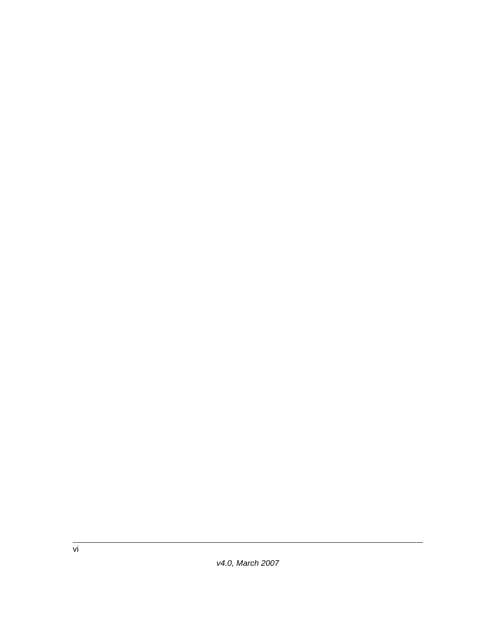#### *v4.0, March 2007*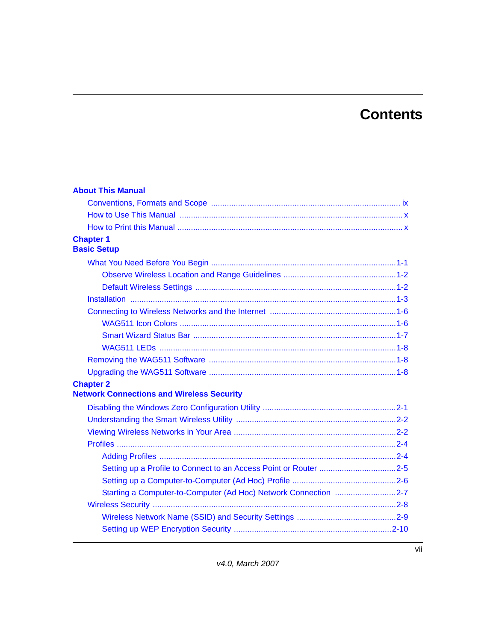## **Contents**

| <b>About This Manual</b>                                             |  |
|----------------------------------------------------------------------|--|
|                                                                      |  |
|                                                                      |  |
|                                                                      |  |
| <b>Chapter 1</b><br><b>Basic Setup</b>                               |  |
|                                                                      |  |
|                                                                      |  |
|                                                                      |  |
|                                                                      |  |
|                                                                      |  |
|                                                                      |  |
|                                                                      |  |
|                                                                      |  |
|                                                                      |  |
|                                                                      |  |
| <b>Chapter 2</b><br><b>Network Connections and Wireless Security</b> |  |
|                                                                      |  |
|                                                                      |  |
|                                                                      |  |
|                                                                      |  |
|                                                                      |  |
|                                                                      |  |
|                                                                      |  |
| Starting a Computer-to-Computer (Ad Hoc) Network Connection 2-7      |  |
|                                                                      |  |
|                                                                      |  |
|                                                                      |  |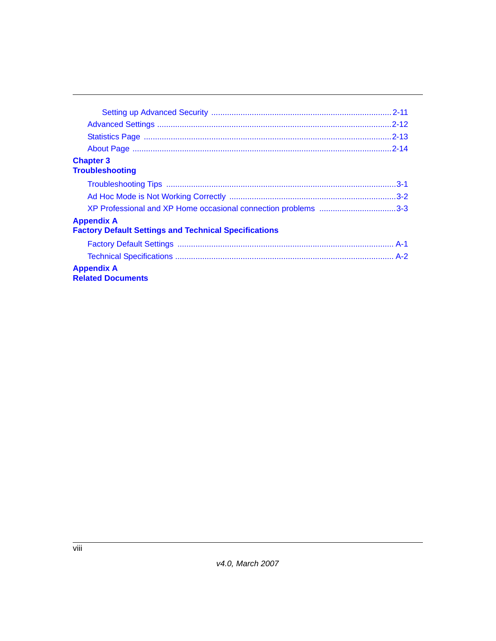| <b>Chapter 3</b><br><b>Troubleshooting</b>                                        |
|-----------------------------------------------------------------------------------|
|                                                                                   |
|                                                                                   |
|                                                                                   |
| <b>Appendix A</b><br><b>Factory Default Settings and Technical Specifications</b> |
|                                                                                   |
|                                                                                   |
| <b>Appendix A</b><br><b>Related Documents</b>                                     |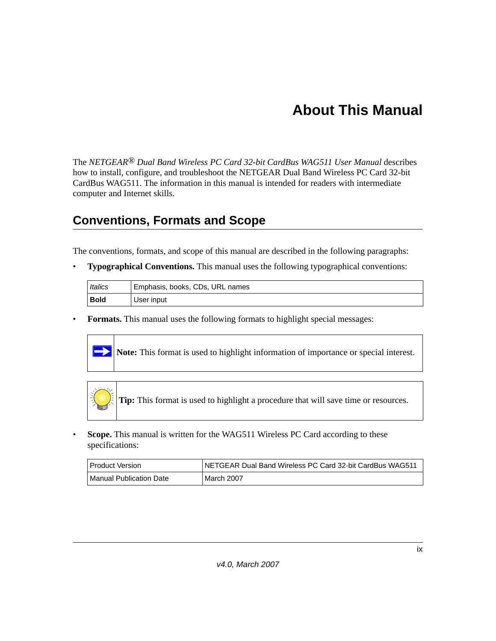## **About This Manual**

<span id="page-8-0"></span>The *NETGEAR® Dual Band Wireless PC Card 32-bit CardBus WAG511 User Manual* describes how to install, configure, and troubleshoot the NETGEAR Dual Band Wireless PC Card 32-bit CardBus WAG511. The information in this manual is intended for readers with intermediate computer and Internet skills.

## <span id="page-8-1"></span>**Conventions, Formats and Scope**

The conventions, formats, and scope of this manual are described in the following paragraphs:

• **Typographical Conventions.** This manual uses the following typographical conventions:

| <b>Italics</b> | Emphasis, books, CDs, URL names |  |
|----------------|---------------------------------|--|
| <b>Bold</b>    | User input                      |  |

• **Formats.** This manual uses the following formats to highlight special messages:





**Tip:** This format is used to highlight a procedure that will save time or resources.

• **Scope.** This manual is written for the WAG511 Wireless PC Card according to these specifications:

| <b>Product Version</b>         | INETGEAR Dual Band Wireless PC Card 32-bit CardBus WAG511 |
|--------------------------------|-----------------------------------------------------------|
| <b>Manual Publication Date</b> | March 2007                                                |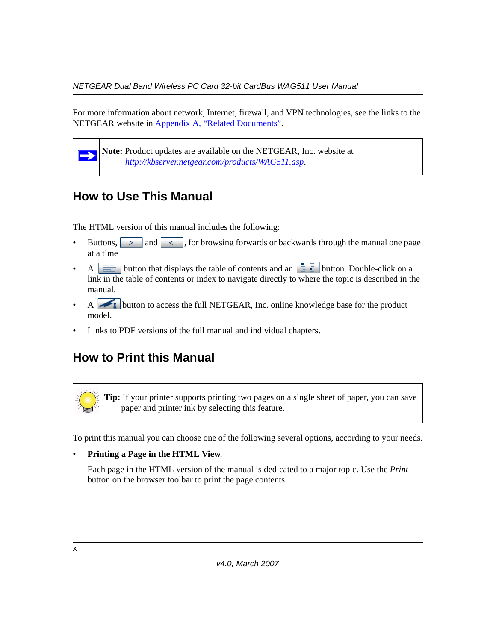For more information about network, Internet, firewall, and VPN technologies, see the links to the NETGEAR website in [Appendix A, "Related Documents"](#page-42-1).



**Note:** Product updates are available on the NETGEAR, Inc. website at *<http://kbserver.netgear.com/products/WAG511.asp>*.

### <span id="page-9-0"></span>**How to Use This Manual**

The HTML version of this manual includes the following:

- Buttons,  $>$  and  $\leq$  for browsing forwards or backwards through the manual one page at a time
- A  $\equiv$  button that displays the table of contents and an  $\equiv$  button. Double-click on a link in the table of contents or index to navigate directly to where the topic is described in the manual.
- A button to access the full NETGEAR, Inc. online knowledge base for the product model.
- Links to PDF versions of the full manual and individual chapters.

## <span id="page-9-1"></span>**How to Print this Manual**



**Tip:** If your printer supports printing two pages on a single sheet of paper, you can save paper and printer ink by selecting this feature.

To print this manual you can choose one of the following several options, according to your needs.

#### • **Printing a Page in the HTML View**.

Each page in the HTML version of the manual is dedicated to a major topic. Use the *Print* button on the browser toolbar to print the page contents.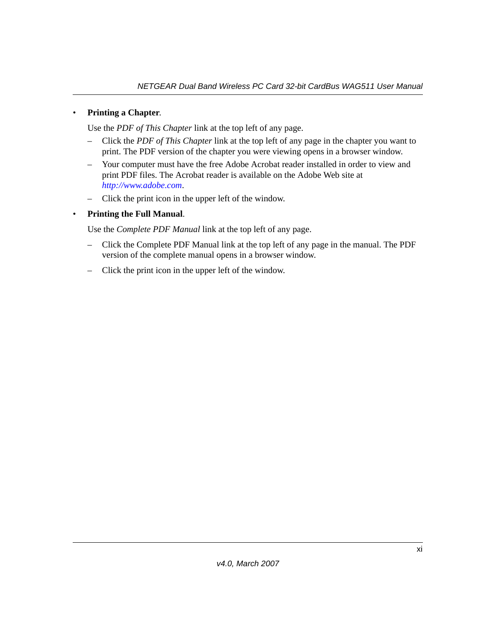#### • **Printing a Chapter**.

Use the *PDF of This Chapter* link at the top left of any page.

- Click the *PDF of This Chapter* link at the top left of any page in the chapter you want to print. The PDF version of the chapter you were viewing opens in a browser window.
- Your computer must have the free Adobe Acrobat reader installed in order to view and print PDF files. The Acrobat reader is available on the Adobe Web site at *<http://www.adobe.com>*.
- Click the print icon in the upper left of the window.
- **Printing the Full Manual**.

Use the *Complete PDF Manual* link at the top left of any page.

- Click the Complete PDF Manual link at the top left of any page in the manual. The PDF version of the complete manual opens in a browser window.
- Click the print icon in the upper left of the window.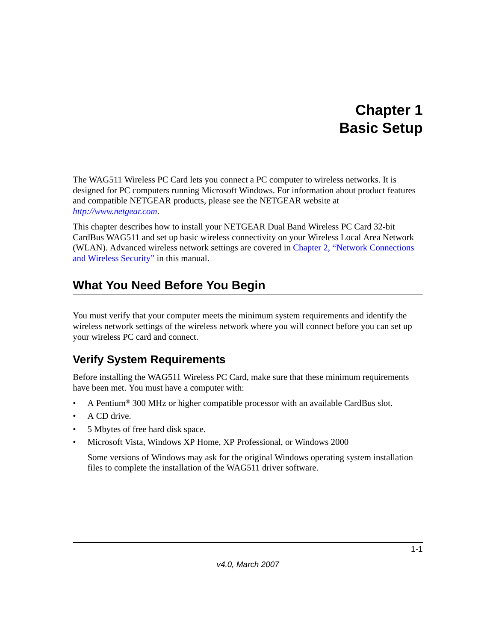## **Chapter 1 Basic Setup**

<span id="page-12-0"></span>The WAG511 Wireless PC Card lets you connect a PC computer to wireless networks. It is designed for PC computers running Microsoft Windows. For information about product features and compatible NETGEAR products, please see the NETGEAR website at *<http://www.netgear.com>*.

This chapter describes how to install your NETGEAR Dual Band Wireless PC Card 32-bit CardBus WAG511 and set up basic wireless connectivity on your Wireless Local Area Network (WLAN). Advanced wireless network settings are covered in [Chapter 2, "Network Connections](#page-22-2)  [and Wireless Security"](#page-22-2) in this manual.

## <span id="page-12-1"></span>**What You Need Before You Begin**

You must verify that your computer meets the minimum system requirements and identify the wireless network settings of the wireless network where you will connect before you can set up your wireless PC card and connect.

### **Verify System Requirements**

Before installing the WAG511 Wireless PC Card, make sure that these minimum requirements have been met. You must have a computer with:

- A Pentium<sup>®</sup> 300 MHz or higher compatible processor with an available CardBus slot.
- A CD drive.
- 5 Mbytes of free hard disk space.
- Microsoft Vista, Windows XP Home, XP Professional, or Windows 2000

Some versions of Windows may ask for the original Windows operating system installation files to complete the installation of the WAG511 driver software.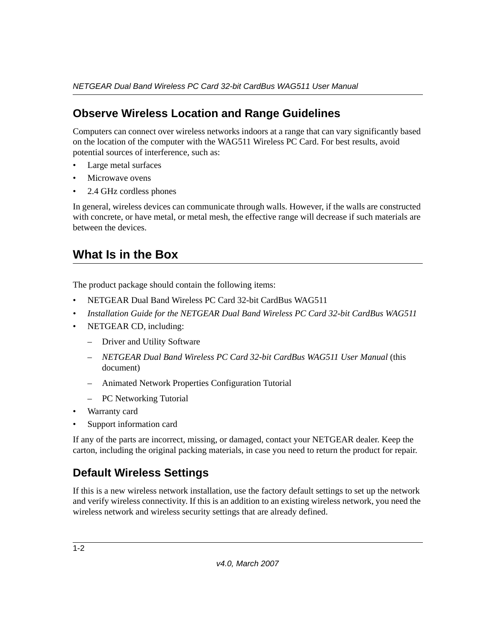#### <span id="page-13-0"></span>**Observe Wireless Location and Range Guidelines**

Computers can connect over wireless networks indoors at a range that can vary significantly based on the location of the computer with the WAG511 Wireless PC Card. For best results, avoid potential sources of interference, such as:

- Large metal surfaces
- Microwave ovens
- 2.4 GHz cordless phones

In general, wireless devices can communicate through walls. However, if the walls are constructed with concrete, or have metal, or metal mesh, the effective range will decrease if such materials are between the devices.

## **What Is in the Box**

The product package should contain the following items:

- NETGEAR Dual Band Wireless PC Card 32-bit CardBus WAG511
- *Installation Guide for the NETGEAR Dual Band Wireless PC Card 32-bit CardBus WAG511*
- NETGEAR CD, including:
	- Driver and Utility Software
	- *NETGEAR Dual Band Wireless PC Card 32-bit CardBus WAG511 User Manual* (this document)
	- Animated Network Properties Configuration Tutorial
	- PC Networking Tutorial
- Warranty card
- Support information card

If any of the parts are incorrect, missing, or damaged, contact your NETGEAR dealer. Keep the carton, including the original packing materials, in case you need to return the product for repair.

## <span id="page-13-1"></span>**Default Wireless Settings**

If this is a new wireless network installation, use the factory default settings to set up the network and verify wireless connectivity. If this is an addition to an existing wireless network, you need the wireless network and wireless security settings that are already defined.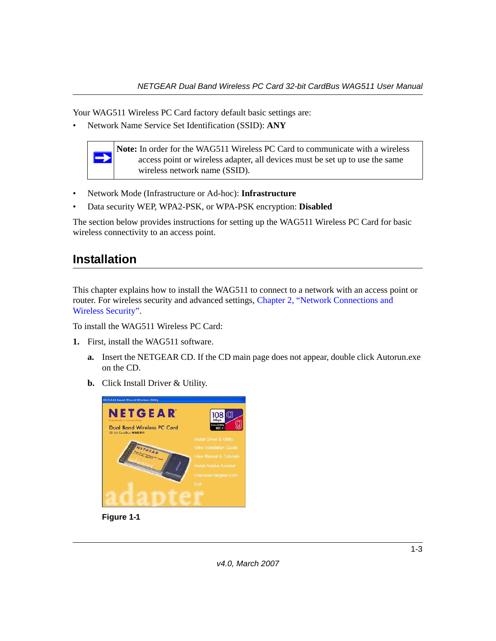Your WAG511 Wireless PC Card factory default basic settings are:

• Network Name Service Set Identification (SSID): **ANY**

**Note:** In order for the WAG511 Wireless PC Card to communicate with a wireless access point or wireless adapter, all devices must be set up to use the same wireless network name (SSID).

- Network Mode (Infrastructure or Ad-hoc): **Infrastructure**
- Data security WEP, WPA2-PSK, or WPA-PSK encryption: **Disabled**

The section below provides instructions for setting up the WAG511 Wireless PC Card for basic wireless connectivity to an access point.

## <span id="page-14-0"></span>**Installation**

→

This chapter explains how to install the WAG511 to connect to a network with an access point or router. For wireless security and advanced settings, [Chapter 2, "Network Connections and](#page-22-2)  [Wireless Security"](#page-22-2).

To install the WAG511 Wireless PC Card:

- **1.** First, install the WAG511 software.
	- **a.** Insert the NETGEAR CD. If the CD main page does not appear, double click Autorun.exe on the CD.
	- **b.** Click Install Driver & Utility.



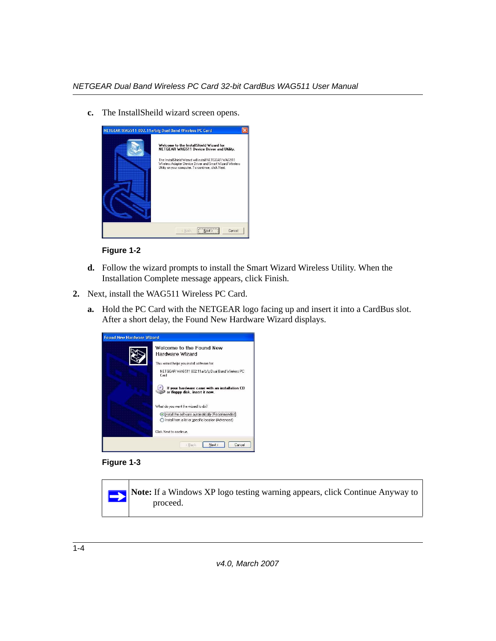**c.** The InstallSheild wizard screen opens.

| NETGEAR WAG511 802.11a/b/g Dual Band Wireless PC Card<br>Welcome to the InstallShield Wizard for<br>NETGEAR WAG511 Device Driver and Utility.<br>The InstallShield Wizard will install NETGEAR WAG511<br>Wireless Adapter Device Driver and Smart Wizard Wireless<br>Utility on your computer. To continue, click Next. |
|-------------------------------------------------------------------------------------------------------------------------------------------------------------------------------------------------------------------------------------------------------------------------------------------------------------------------|
| Cancel<br>< Back<br>Next >                                                                                                                                                                                                                                                                                              |

**Figure 1-2**

- **d.** Follow the wizard prompts to install the Smart Wizard Wireless Utility. When the Installation Complete message appears, click Finish.
- **2.** Next, install the WAG511 Wireless PC Card.
	- **a.** Hold the PC Card with the NETGEAR logo facing up and insert it into a CardBus slot. After a short delay, the Found New Hardware Wizard displays.





⇒

**Note:** If a Windows XP logo testing warning appears, click Continue Anyway to proceed.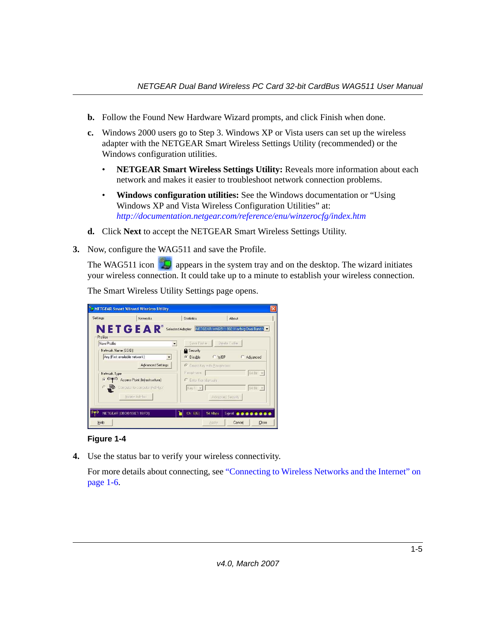- **b.** Follow the Found New Hardware Wizard prompts, and click Finish when done.
- **c.** Windows 2000 users go to Step 3. Windows XP or Vista users can set up the wireless adapter with the NETGEAR Smart Wireless Settings Utility (recommended) or the Windows configuration utilities.
	- **NETGEAR Smart Wireless Settings Utility:** Reveals more information about each network and makes it easier to troubleshoot network connection problems.
	- **Windows configuration utilities:** See the Windows documentation or "Using Windows XP and Vista Wireless Configuration Utilities" at: *<http://documentation.netgear.com/reference/enu/winzerocfg/index.htm>*
- **d.** Click **Next** to accept the NETGEAR Smart Wireless Settings Utility.
- **3.** Now, configure the WAG511 and save the Profile.

The WAG511 icon  $\Box$  appears in the system tray and on the desktop. The wizard initiates your wireless connection. It could take up to a minute to establish your wireless connection.

The Smart Wireless Utility Settings page opens.



#### **Figure 1-4**

**4.** Use the status bar to verify your wireless connectivity.

For more details about connecting, see ["Connecting to Wireless Networks and the Internet" on](#page-17-0)  [page 1-6](#page-17-0).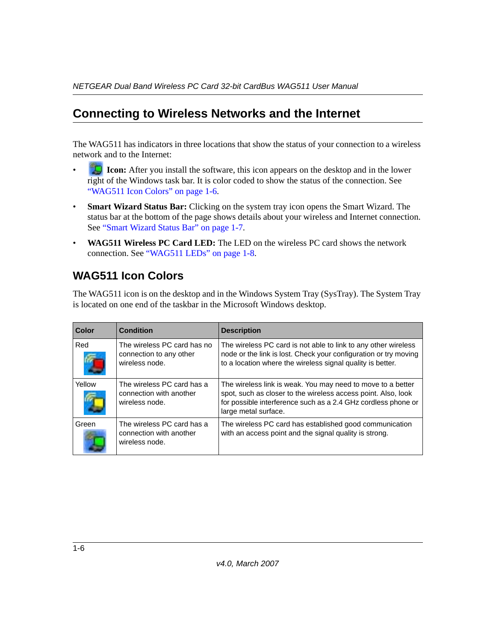#### <span id="page-17-2"></span><span id="page-17-0"></span>**Connecting to Wireless Networks and the Internet**

The WAG511 has indicators in three locations that show the status of your connection to a wireless network and to the Internet:

- **Icon:** After you install the software, this icon appears on the desktop and in the lower right of the Windows task bar. It is color coded to show the status of the connection. See ["WAG511 Icon Colors" on page 1-6.](#page-17-1)
- **Smart Wizard Status Bar:** Clicking on the system tray icon opens the Smart Wizard. The status bar at the bottom of the page shows details about your wireless and Internet connection. See ["Smart Wizard Status Bar" on page 1-7.](#page-18-0)
- **WAG511 Wireless PC Card LED:** The LED on the wireless PC card shows the network connection. See ["WAG511 LEDs" on page 1-8](#page-19-0).

#### <span id="page-17-1"></span>**WAG511 Icon Colors**

The WAG511 icon is on the desktop and in the Windows System Tray (SysTray). The System Tray is located on one end of the taskbar in the Microsoft Windows desktop.

| Color  | <b>Condition</b>                                                         | <b>Description</b>                                                                                                                                                                                                    |  |
|--------|--------------------------------------------------------------------------|-----------------------------------------------------------------------------------------------------------------------------------------------------------------------------------------------------------------------|--|
| Red    | The wireless PC card has no<br>connection to any other<br>wireless node. | The wireless PC card is not able to link to any other wireless<br>node or the link is lost. Check your configuration or try moving<br>to a location where the wireless signal quality is better.                      |  |
| Yellow | The wireless PC card has a<br>connection with another<br>wireless node.  | The wireless link is weak. You may need to move to a better<br>spot, such as closer to the wireless access point. Also, look<br>for possible interference such as a 2.4 GHz cordless phone or<br>large metal surface. |  |
| Green  | The wireless PC card has a<br>connection with another<br>wireless node.  | The wireless PC card has established good communication<br>with an access point and the signal quality is strong.                                                                                                     |  |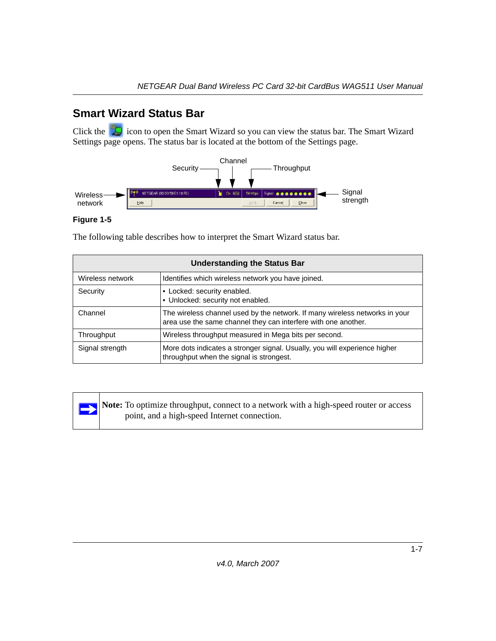#### <span id="page-18-0"></span>**Smart Wizard Status Bar**

Click the  $\Box$  icon to open the Smart Wizard so you can view the status bar. The Smart Wizard Settings page opens. The status bar is located at the bottom of the Settings page.



#### **Figure 1-5**

The following table describes how to interpret the Smart Wizard status bar.

| <b>Understanding the Status Bar</b> |                                                                                                                                               |  |
|-------------------------------------|-----------------------------------------------------------------------------------------------------------------------------------------------|--|
| Wireless network                    | Identifies which wireless network you have joined.                                                                                            |  |
| Security                            | • Locked: security enabled.<br>· Unlocked: security not enabled.                                                                              |  |
| Channel                             | The wireless channel used by the network. If many wireless networks in your<br>area use the same channel they can interfere with one another. |  |
| Throughput                          | Wireless throughput measured in Mega bits per second.                                                                                         |  |
| Signal strength                     | More dots indicates a stronger signal. Usually, you will experience higher<br>throughput when the signal is strongest.                        |  |



**Note:** To optimize throughput, connect to a network with a high-speed router or access point, and a high-speed Internet connection.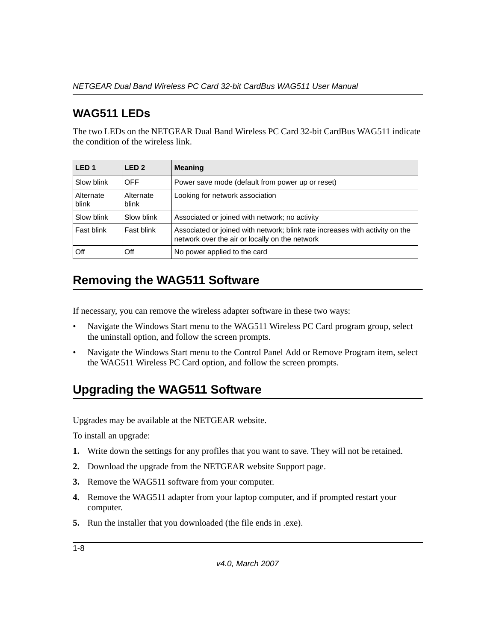#### <span id="page-19-0"></span>**WAG511 LEDs**

The two LEDs on the NETGEAR Dual Band Wireless PC Card 32-bit CardBus WAG511 indicate the condition of the wireless link.

| LED <sub>1</sub>   | LED <sub>2</sub>   | <b>Meaning</b>                                                                                                                 |
|--------------------|--------------------|--------------------------------------------------------------------------------------------------------------------------------|
| Slow blink         | <b>OFF</b>         | Power save mode (default from power up or reset)                                                                               |
| Alternate<br>blink | Alternate<br>blink | Looking for network association                                                                                                |
| Slow blink         | Slow blink         | Associated or joined with network; no activity                                                                                 |
| Fast blink         | Fast blink         | Associated or joined with network; blink rate increases with activity on the<br>network over the air or locally on the network |
| Off                | Off                | No power applied to the card                                                                                                   |

## <span id="page-19-3"></span><span id="page-19-1"></span>**Removing the WAG511 Software**

If necessary, you can remove the wireless adapter software in these two ways:

- Navigate the Windows Start menu to the WAG511 Wireless PC Card program group, select the uninstall option, and follow the screen prompts.
- Navigate the Windows Start menu to the Control Panel Add or Remove Program item, select the WAG511 Wireless PC Card option, and follow the screen prompts.

## <span id="page-19-4"></span><span id="page-19-2"></span>**Upgrading the WAG511 Software**

Upgrades may be available at the NETGEAR website.

To install an upgrade:

- **1.** Write down the settings for any profiles that you want to save. They will not be retained.
- **2.** Download the upgrade from the NETGEAR website Support page.
- **3.** Remove the WAG511 software from your computer.
- **4.** Remove the WAG511 adapter from your laptop computer, and if prompted restart your computer.
- **5.** Run the installer that you downloaded (the file ends in .exe).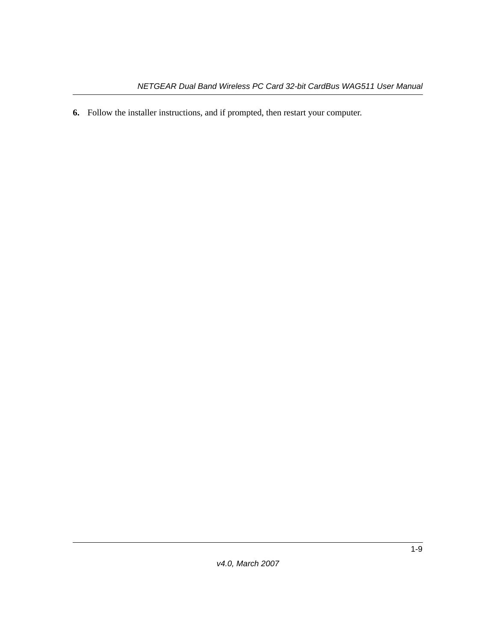**6.** Follow the installer instructions, and if prompted, then restart your computer.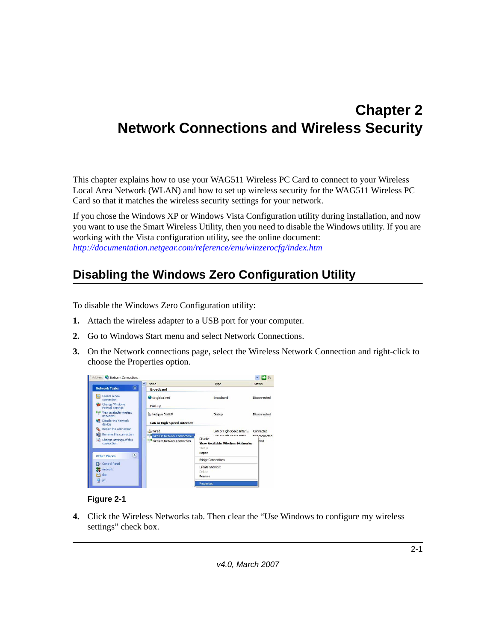## <span id="page-22-2"></span><span id="page-22-0"></span>**Chapter 2 Network Connections and Wireless Security**

This chapter explains how to use your WAG511 Wireless PC Card to connect to your Wireless Local Area Network (WLAN) and how to set up wireless security for the WAG511 Wireless PC Card so that it matches the wireless security settings for your network.

If you chose the Windows XP or Windows Vista Configuration utility during installation, and now you want to use the Smart Wireless Utility, then you need to disable the Windows utility. If you are working with the Vista configuration utility, see the online document: *<http://documentation.netgear.com/reference/enu/winzerocfg/index.htm>*

## <span id="page-22-1"></span>**Disabling the Windows Zero Configuration Utility**

To disable the Windows Zero Configuration utility:

- **1.** Attach the wireless adapter to a USB port for your computer.
- **2.** Go to Windows Start menu and select Network Connections.
- **3.** On the Network connections page, select the Wireless Network Connection and right-click to choose the Properties option.



**Figure 2-1**

**4.** Click the Wireless Networks tab. Then clear the "Use Windows to configure my wireless settings" check box.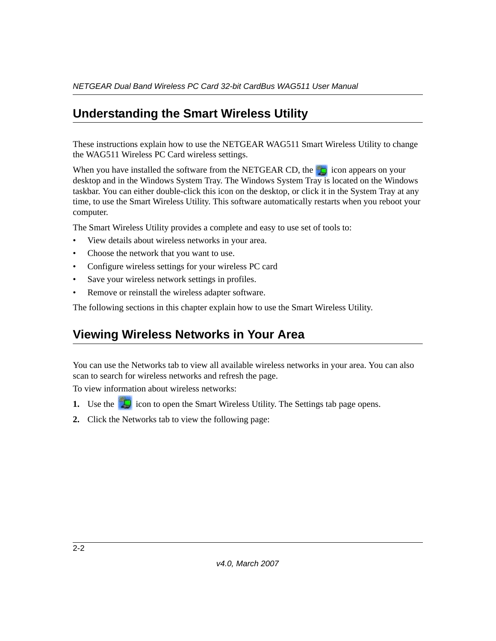## <span id="page-23-0"></span>**Understanding the Smart Wireless Utility**

These instructions explain how to use the NETGEAR WAG511 Smart Wireless Utility to change the WAG511 Wireless PC Card wireless settings.

When you have installed the software from the NETGEAR CD, the  $\Box$  icon appears on your desktop and in the Windows System Tray. The Windows System Tray is located on the Windows taskbar. You can either double-click this icon on the desktop, or click it in the System Tray at any time, to use the Smart Wireless Utility. This software automatically restarts when you reboot your computer.

The Smart Wireless Utility provides a complete and easy to use set of tools to:

- View details about wireless networks in your area.
- Choose the network that you want to use.
- Configure wireless settings for your wireless PC card
- Save your wireless network settings in profiles.
- Remove or reinstall the wireless adapter software.

The following sections in this chapter explain how to use the Smart Wireless Utility.

## <span id="page-23-1"></span>**Viewing Wireless Networks in Your Area**

You can use the Networks tab to view all available wireless networks in your area. You can also scan to search for wireless networks and refresh the page.

To view information about wireless networks:

- **1.** Use the **interpretent Union** to open the Smart Wireless Utility. The Settings tab page opens.
- **2.** Click the Networks tab to view the following page: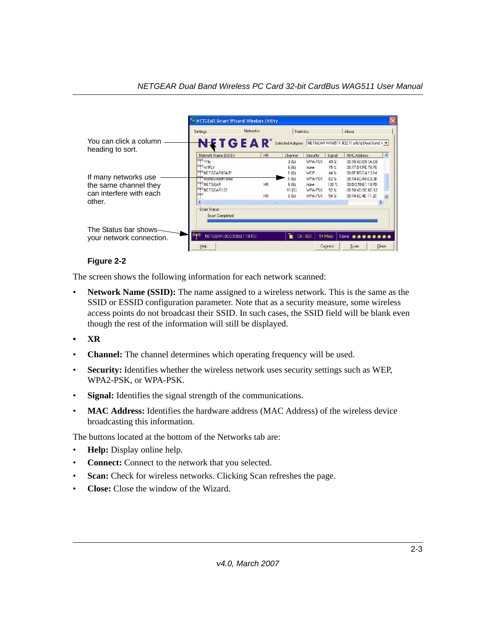|                                                   | <b>La NETGEAR Smart Wizard Wireless Utility</b>                               |                       |                   |            |         |                           |                          |
|---------------------------------------------------|-------------------------------------------------------------------------------|-----------------------|-------------------|------------|---------|---------------------------|--------------------------|
|                                                   | Settings                                                                      | Networks <sup>®</sup> | <b>Statistics</b> |            |         | About                     |                          |
| You can click a column.<br>heading to sort.       | NETGEAR <sup>®</sup> Selected Adapter: NETGEAR WAG511 802.11a/b/g Dual Band V |                       |                   |            |         |                           |                          |
|                                                   | Network Name (SSID)                                                           | <b>XR</b>             | Channel           | Security   | Signal  | <b>MAC Address</b>        | $\overline{\phantom{a}}$ |
|                                                   | "YFly                                                                         |                       | 3(6)              | WPA-PSK    | 49%     | 00:18:4D:09:1A:E8         |                          |
|                                                   | WIFLY                                                                         |                       | 6(6)              | none       | 15%     | 00:17:D1:FF:76:70         |                          |
|                                                   | NETGEAR834JP                                                                  |                       | 1(6)              | <b>WEP</b> | 44%     | 00:0F:B5:D4:13:14         |                          |
| If many networks use                              | <b>HomeSweetHome</b>                                                          |                       | 1(G)              | WPA-PSK    | 82%     | 00:14:6C:A6:C9:3B         |                          |
| the same channel they                             | NETGEAR                                                                       | XR                    | 6(6)              | none       | 100 %   | 00:D0:59:E1:18:FD         |                          |
| can interfere with each                           | NETGEAR123                                                                    |                       | 11(6)             | WPA-PSK    | 92%     | 00:18:40:9C:6E:12         |                          |
|                                                   |                                                                               | XR                    | 6(6)              | WPA-PSK    | 54 %    | 00:14:6C:4E:11:2E         |                          |
| other.                                            |                                                                               |                       |                   |            |         |                           |                          |
|                                                   | <b>Scan Status</b>                                                            |                       |                   |            |         |                           |                          |
|                                                   | Scan Completed                                                                |                       |                   |            |         |                           |                          |
|                                                   |                                                                               |                       |                   |            |         |                           |                          |
|                                                   |                                                                               |                       |                   |            |         |                           |                          |
| The Status bar shows-<br>your network connection. | $(1 - 0)$<br>NETGEAR (00:D0:59:E1:18:FD)                                      |                       | ъ                 | Ch: 6(G)   | 54 Mbps | Signal <b>a a a a a a</b> |                          |
|                                                   | Help                                                                          |                       |                   |            | Connect | Scan                      | Close                    |

#### **Figure 2-2**

The screen shows the following information for each network scanned:

- **Network Name (SSID):** The name assigned to a wireless network. This is the same as the SSID or ESSID configuration parameter. Note that as a security measure, some wireless access points do not broadcast their SSID. In such cases, the SSID field will be blank even though the rest of the information will still be displayed.
- **XR**
- **Channel:** The channel determines which operating frequency will be used.
- **Security:** Identifies whether the wireless network uses security settings such as WEP, WPA2-PSK, or WPA-PSK.
- **Signal:** Identifies the signal strength of the communications.
- **MAC Address:** Identifies the hardware address (MAC Address) of the wireless device broadcasting this information.

The buttons located at the bottom of the Networks tab are:

- **Help:** Display online help.
- **Connect:** Connect to the network that you selected.
- **Scan:** Check for wireless networks. Clicking Scan refreshes the page.
- **Close:** Close the window of the Wizard.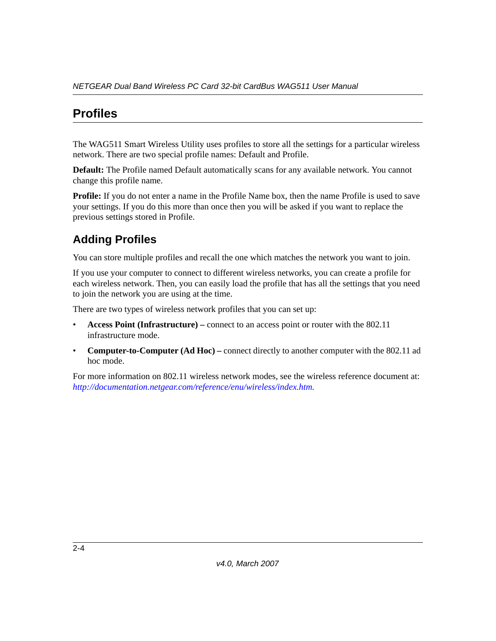## <span id="page-25-0"></span>**Profiles**

The WAG511 Smart Wireless Utility uses profiles to store all the settings for a particular wireless network. There are two special profile names: Default and Profile.

**Default:** The Profile named Default automatically scans for any available network. You cannot change this profile name.

**Profile:** If you do not enter a name in the Profile Name box, then the name Profile is used to save your settings. If you do this more than once then you will be asked if you want to replace the previous settings stored in Profile.

## <span id="page-25-1"></span>**Adding Profiles**

You can store multiple profiles and recall the one which matches the network you want to join.

If you use your computer to connect to different wireless networks, you can create a profile for each wireless network. Then, you can easily load the profile that has all the settings that you need to join the network you are using at the time.

There are two types of wireless network profiles that you can set up:

- **Access Point (Infrastructure)** connect to an access point or router with the 802.11 infrastructure mode.
- **Computer-to-Computer (Ad Hoc) –** connect directly to another computer with the 802.11 ad hoc mode.

For more information on 802.11 wireless network modes, see the wireless reference document at: *[http://documentation.netgear.com/reference/enu/wireless/index.htm.](http://documentation.netgear.com/reference/enu/wireless/index.htm)*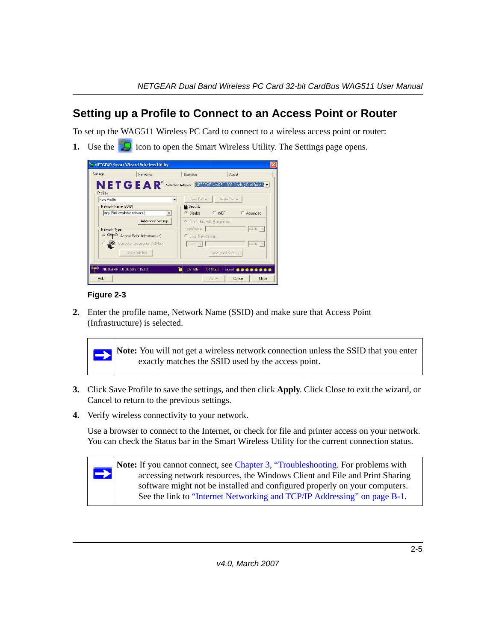#### <span id="page-26-0"></span>**Setting up a Profile to Connect to an Access Point or Router**

To set up the WAG511 Wireless PC Card to connect to a wireless access point or router:

**1.** Use the **ight** icon to open the Smart Wireless Utility. The Settings page opens.

| Settings                      | <b>Networks</b><br>NETGEAR <sup>®</sup> Selected Adapter: NETGEAR WAG511 80211a/b/g Dual Band N | <b>Statistics</b>     |                               | About                  |       |
|-------------------------------|-------------------------------------------------------------------------------------------------|-----------------------|-------------------------------|------------------------|-------|
| Profiles<br>New Profile       |                                                                                                 | Save Profile          | Delete Profile                |                        |       |
| Network Name (SSID)           |                                                                                                 | <b>Q</b> Security     |                               |                        |       |
| Any (First available network) |                                                                                                 | • Disable             | C WEP                         | Advanced               |       |
|                               | <b>Advanced Settings</b>                                                                        |                       | C Create Key with Passphrase: |                        |       |
| Network Type                  |                                                                                                 | Passphrase:           |                               | $64 Bit$ $\rightarrow$ |       |
| $G$ $((eqn))$                 | Access Point (Infrastructure)                                                                   | C Enter Key Manually: |                               |                        |       |
|                               | Computer-to-computer (Ad Hoc)                                                                   | Key 1: -              |                               | 64 Bit -               |       |
|                               | Initiate Ad-Hoc                                                                                 |                       | Advanced Security             |                        |       |
| (0, 0)                        | NETGEAR (00:D0:59:E1:18:FD)                                                                     | Ch: 6(G)              | 54 Mbps<br>Signal             |                        |       |
| Help                          |                                                                                                 |                       | Apply                         | Cancel                 | Close |

#### **Figure 2-3**

**2.** Enter the profile name, Network Name (SSID) and make sure that Access Point (Infrastructure) is selected.



 $\rightarrow$ 

**Note:** You will not get a wireless network connection unless the SSID that you enter exactly matches the SSID used by the access point.

- **3.** Click Save Profile to save the settings, and then click **Apply**. Click Close to exit the wizard, or Cancel to return to the previous settings.
- **4.** Verify wireless connectivity to your network.

Use a browser to connect to the Internet, or check for file and printer access on your network. You can check the Status bar in the Smart Wireless Utility for the current connection status.

**Note:** If you cannot connect, see [Chapter 3, "Troubleshooting.](#page-36-2) For problems with accessing network resources, the Windows Client and File and Print Sharing software might not be installed and configured properly on your computers. See the link to ["Internet Networking and TCP/IP Addressing" on page B-1.](#page-42-2)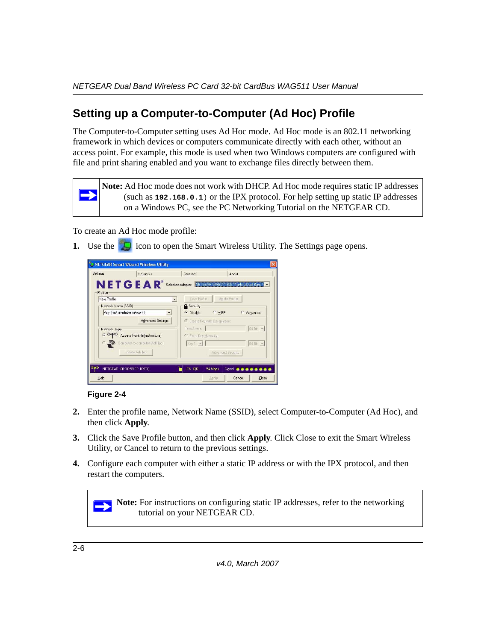### <span id="page-27-0"></span>**Setting up a Computer-to-Computer (Ad Hoc) Profile**

The Computer-to-Computer setting uses Ad Hoc mode. Ad Hoc mode is an 802.11 networking framework in which devices or computers communicate directly with each other, without an access point. For example, this mode is used when two Windows computers are configured with file and print sharing enabled and you want to exchange files directly between them.

**Note:** Ad Hoc mode does not work with DHCP. Ad Hoc mode requires static IP addresses (such as **192.168.0.1**) or the IPX protocol. For help setting up static IP addresses on a Windows PC, see the PC Networking Tutorial on the NETGEAR CD.

To create an Ad Hoc mode profile:

**1.** Use the **ight** icon to open the Smart Wireless Utility. The Settings page opens.

| Settings                             | <b>Networks</b>               | Statistics                                                                   | About             |                 |
|--------------------------------------|-------------------------------|------------------------------------------------------------------------------|-------------------|-----------------|
|                                      |                               | NETGEAR <sup>®</sup> Selected Adapter: NETGEAR WAG511 80211a/b/g Dual Band N |                   |                 |
| Profiles<br>New Profile              |                               | Save Profile                                                                 | Delete Profile    |                 |
| Network Name (SSID)                  |                               | <b>Security</b>                                                              |                   |                 |
| Any (First available network)        |                               | • Disable<br>▼                                                               | <b>WEP</b>        | Advanced        |
|                                      | <b>Advanced Settings</b>      | C Create Key with Passphrase:                                                |                   |                 |
| Network Type                         |                               | Passphrase:                                                                  |                   | 64 Bit →        |
| $($ $((eq))$                         | Access Point (Infrastructure) | C Enter Key Manually:                                                        |                   |                 |
|                                      | Computer-to-computer (Ad Hoc) | Key 1: -                                                                     |                   | 64 Bit          |
|                                      | Initiate Ad-Hoc               |                                                                              | Advanced Security |                 |
| ((a))<br>NETGEAR (00:D0:59:E1:18:FD) |                               | Ch: 6(G)                                                                     | 54 Mbps<br>Signal |                 |
| Help                                 |                               |                                                                              | Apply             | Cancel<br>Close |

**Figure 2-4**

- **2.** Enter the profile name, Network Name (SSID), select Computer-to-Computer (Ad Hoc), and then click **Apply**.
- **3.** Click the Save Profile button, and then click **Apply**. Click Close to exit the Smart Wireless Utility, or Cancel to return to the previous settings.
- **4.** Configure each computer with either a static IP address or with the IPX protocol, and then restart the computers.

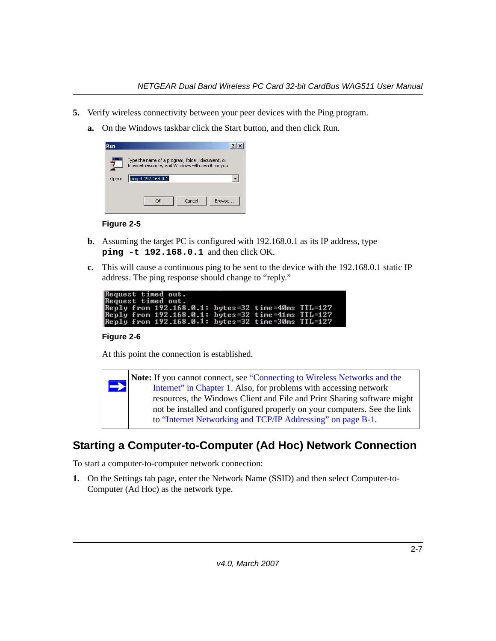- **5.** Verify wireless connectivity between your peer devices with the Ping program.
	- **a.** On the Windows taskbar click the Start button, and then click Run.

| Run   |                                                                                                          |        |
|-------|----------------------------------------------------------------------------------------------------------|--------|
|       | Type the name of a program, folder, document, or<br>Internet resource, and Windows will open it for you. |        |
| Open: | ping -t 192.168.0.1                                                                                      |        |
|       | Cancel<br>ОK                                                                                             | Browse |

#### **Figure 2-5**

- **b.** Assuming the target PC is configured with 192.168.0.1 as its IP address, type **ping -t 192.168.0.1** and then click OK.
- **c.** This will cause a continuous ping to be sent to the device with the 192.168.0.1 static IP address. The ping response should change to "reply."

| Request timed out.<br>Request timed out.           |  |  |
|----------------------------------------------------|--|--|
| Reply from 192.168.0.1: bytes=32 time=40ms TTL=127 |  |  |
| Reply from 192.168.0.1: bytes=32 time=41ms TTL=127 |  |  |
| Reply from 192.168.0.1: bytes=32 time=30ms TTL=127 |  |  |

#### **Figure 2-6**

At this point the connection is established.

**Note:** If you cannot connect, see ["Connecting to Wireless Networks and the](#page-17-2)  [Internet" in Chapter 1.](#page-17-2) Also, for problems with accessing network resources, the Windows Client and File and Print Sharing software might not be installed and configured properly on your computers. See the link to ["Internet Networking and TCP/IP Addressing" on page B-1.](#page-42-2)

#### <span id="page-28-0"></span>**Starting a Computer-to-Computer (Ad Hoc) Network Connection**

To start a computer-to-computer network connection:

**1.** On the Settings tab page, enter the Network Name (SSID) and then select Computer-to-Computer (Ad Hoc) as the network type.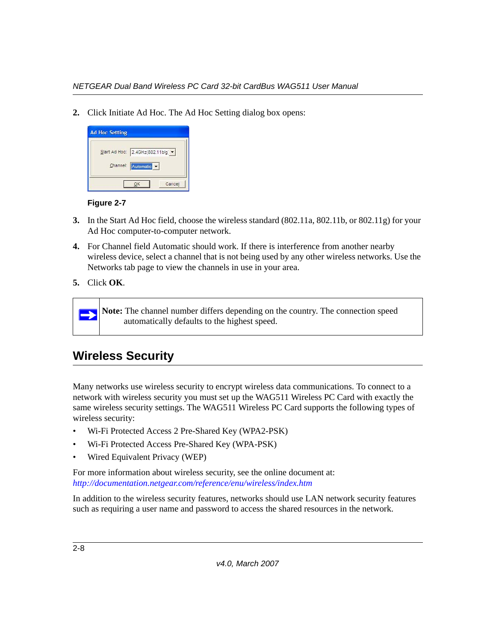**2.** Click Initiate Ad Hoc. The Ad Hoc Setting dialog box opens:

| <b>Ad Hoc Setting</b> |                                   |
|-----------------------|-----------------------------------|
|                       | Start Ad Hoc: 2.4GHz(802.11b/g) v |
|                       | Channel: Automatic                |
|                       | Cancel                            |

**Figure 2-7**

- **3.** In the Start Ad Hoc field, choose the wireless standard (802.11a, 802.11b, or 802.11g) for your Ad Hoc computer-to-computer network.
- **4.** For Channel field Automatic should work. If there is interference from another nearby wireless device, select a channel that is not being used by any other wireless networks. Use the Networks tab page to view the channels in use in your area.
- **5.** Click **OK**.

**Note:** The channel number differs depending on the country. The connection speed automatically defaults to the highest speed.

### <span id="page-29-0"></span>**Wireless Security**

Many networks use wireless security to encrypt wireless data communications. To connect to a network with wireless security you must set up the WAG511 Wireless PC Card with exactly the same wireless security settings. The WAG511 Wireless PC Card supports the following types of wireless security:

- Wi-Fi Protected Access 2 Pre-Shared Key (WPA2-PSK)
- Wi-Fi Protected Access Pre-Shared Key (WPA-PSK)
- Wired Equivalent Privacy (WEP)

For more information about wireless security, see the online document at: *<http://documentation.netgear.com/reference/enu/wireless/index.htm>*

In addition to the wireless security features, networks should use LAN network security features such as requiring a user name and password to access the shared resources in the network.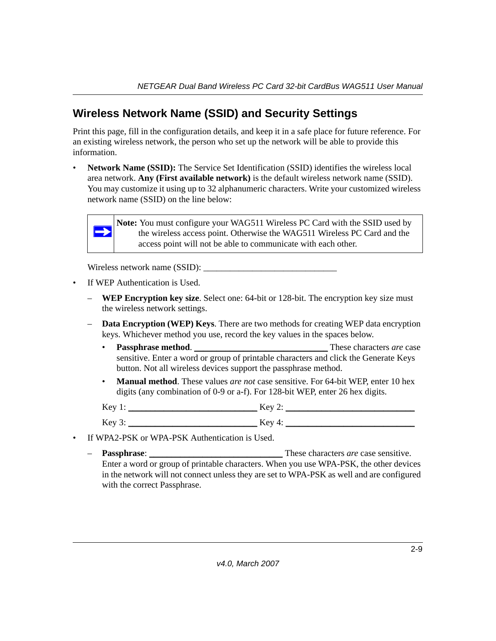#### <span id="page-30-0"></span>**Wireless Network Name (SSID) and Security Settings**

Print this page, fill in the configuration details, and keep it in a safe place for future reference. For an existing wireless network, the person who set up the network will be able to provide this information.

• **Network Name (SSID):** The Service Set Identification (SSID) identifies the wireless local area network. **Any (First available network)** is the default wireless network name (SSID). You may customize it using up to 32 alphanumeric characters. Write your customized wireless network name (SSID) on the line below:



**Note:** You must configure your WAG511 Wireless PC Card with the SSID used by the wireless access point. Otherwise the WAG511 Wireless PC Card and the access point will not be able to communicate with each other.

Wireless network name (SSID): \_\_\_\_\_\_\_\_\_\_\_\_\_\_\_\_\_\_\_\_\_\_\_\_\_\_\_\_\_\_

- If WEP Authentication is Used.
	- **WEP Encryption key size**. Select one: 64-bit or 128-bit. The encryption key size must the wireless network settings.
	- **Data Encryption (WEP) Keys**. There are two methods for creating WEP data encryption keys. Whichever method you use, record the key values in the spaces below.
		- **Passphrase method**. \_\_\_\_\_\_\_\_\_\_\_\_\_\_\_\_\_\_\_\_\_\_\_\_\_\_\_\_\_\_ These characters *are* case sensitive. Enter a word or group of printable characters and click the Generate Keys button. Not all wireless devices support the passphrase method.
		- **Manual method**. These values *are not* case sensitive. For 64-bit WEP, enter 10 hex digits (any combination of 0-9 or a-f). For 128-bit WEP, enter 26 hex digits.

 $Key 1:$   $Key 2:$   $key 2:$   $key 3:$   $key 4:$   $key 5:$   $key 6:$   $key 7:$   $key 7:$   $key 8:$   $key 9:$   $key 1:$   $key 1:$   $key 2:$   $key 1:$   $key 2:$   $key 3:$   $key 4:$   $key 5:$   $key 6:$   $key 7:$   $key 8:$   $key 9:$   $key 9:$   $key 9:$   $key 1:$   $key 1:$   $key 2:$   $key 1:$   $key 2:$   $key 1:$   $key 2$ 

- $Key 3:$   $Key 4:$
- If WPA2-PSK or WPA-PSK Authentication is Used.
	- **Passphrase:** These characters *are* case sensitive. Enter a word or group of printable characters. When you use WPA-PSK, the other devices in the network will not connect unless they are set to WPA-PSK as well and are configured with the correct Passphrase.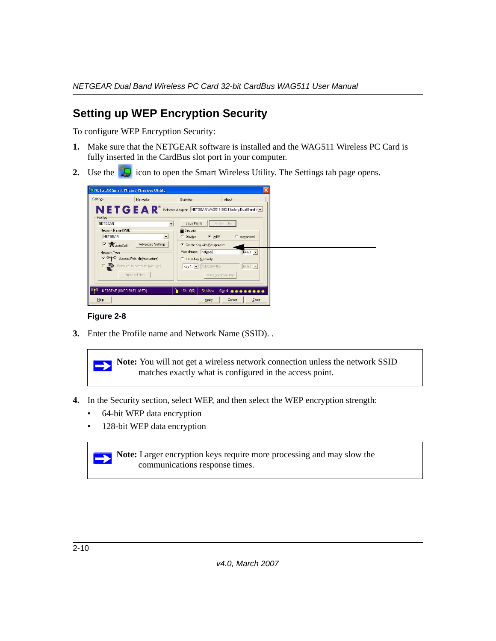#### <span id="page-31-0"></span>**Setting up WEP Encryption Security**

To configure WEP Encryption Security:

- **1.** Make sure that the NETGEAR software is installed and the WAG511 Wireless PC Card is fully inserted in the CardBus slot port in your computer.
- **2.** Use the **ight** icon to open the Smart Wireless Utility. The Settings tab page opens.

|                                                                                               | <b>To NETGEAR Smart Wizard Wireless Utility</b>                                          |                                                                                                                                                                            |                         |                           |
|-----------------------------------------------------------------------------------------------|------------------------------------------------------------------------------------------|----------------------------------------------------------------------------------------------------------------------------------------------------------------------------|-------------------------|---------------------------|
| Settings                                                                                      | <b>Networks</b>                                                                          | <b>Statistics</b>                                                                                                                                                          | About                   |                           |
| Profiles<br>NETGEAR<br>Network Name (SSID)-<br>NETGEAR<br>$\nabla \times \mathbf{A}$ AutoCell | Advanced Settings                                                                        | NETGEAR <sup>®</sup> Selected Adapter: NETGEAR WAG511 802.11a/b/g Dual Band V =<br>Save Profile<br>Security:<br>C Disable<br>$\checkmark$<br>C Create Key with Passphrase: | Delete Profile<br>G WEP | Advanced                  |
| Network Type<br>$\sqrt{2}$                                                                    | (Com) Access Point (Infrastructure)<br>Computer-to-computer (Ad Hoc)<br>Initiate Ad-Hoc- | Passphrase: netgear<br>F Enter Key Manually:<br>Key 1: - 48D69DA465                                                                                                        | Advanced Security       | $64 Bit$ $\sim$<br>64 Bit |
| 《中の                                                                                           | NETGEAR (00:D0:59:E1:18:FD)                                                              | ъ<br>Ch: 6(G)<br>54 Mbps                                                                                                                                                   | Signal <b>a a a a</b>   |                           |
| Help                                                                                          |                                                                                          | Apply                                                                                                                                                                      | Cancel                  | Close                     |

#### **Figure 2-8**

**3.** Enter the Profile name and Network Name (SSID). .



- **4.** In the Security section, select WEP, and then select the WEP encryption strength:
	- 64-bit WEP data encryption
	- 128-bit WEP data encryption



**Note:** Larger encryption keys require more processing and may slow the communications response times.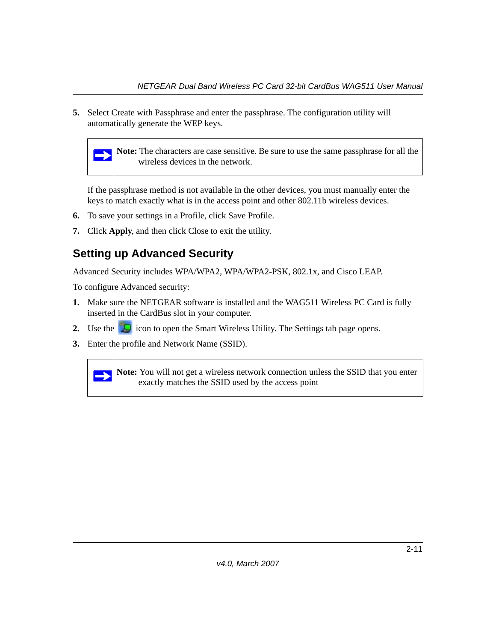**5.** Select Create with Passphrase and enter the passphrase. The configuration utility will automatically generate the WEP keys.



If the passphrase method is not available in the other devices, you must manually enter the keys to match exactly what is in the access point and other 802.11b wireless devices.

- **6.** To save your settings in a Profile, click Save Profile.
- **7.** Click **Apply**, and then click Close to exit the utility.

## <span id="page-32-0"></span>**Setting up Advanced Security**

Advanced Security includes WPA/WPA2, WPA/WPA2-PSK, 802.1x, and Cisco LEAP.

To configure Advanced security:

- **1.** Make sure the NETGEAR software is installed and the WAG511 Wireless PC Card is fully inserted in the CardBus slot in your computer.
- **2.** Use the **ight** icon to open the Smart Wireless Utility. The Settings tab page opens.
- **3.** Enter the profile and Network Name (SSID).



**Note:** You will not get a wireless network connection unless the SSID that you enter exactly matches the SSID used by the access point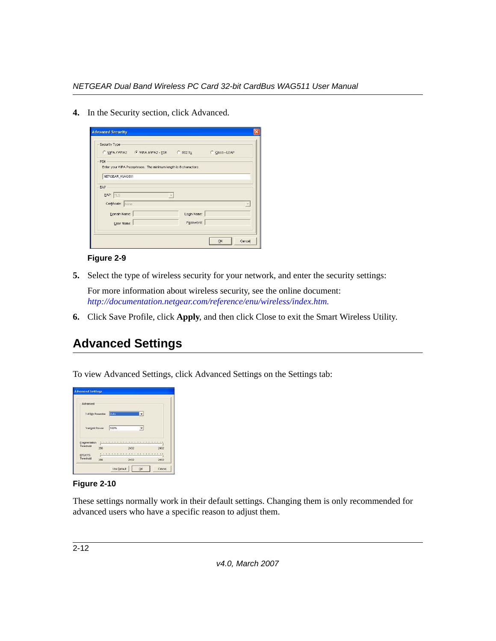**4.** In the Security section, click Advanced.



**Figure 2-9**

**5.** Select the type of wireless security for your network, and enter the security settings:

For more information about wireless security, see the online document: *[http://documentation.netgear.com/reference/enu/wireless/index.htm.](http://documentation.netgear.com/reference/enu/wireless/index.htm)*

**6.** Click Save Profile, click **Apply**, and then click Close to exit the Smart Wireless Utility.

## <span id="page-33-0"></span>**Advanced Settings**

To view Advanced Settings, click Advanced Settings on the Settings tab:

| Advanced                                       |     |                                                               |                             |
|------------------------------------------------|-----|---------------------------------------------------------------|-----------------------------|
| 2.4GHz Presentie: Auto                         |     | $\blacksquare$                                                |                             |
| Tranginit Power                                |     | 100%<br>$\blacktriangledown$                                  |                             |
| Eragmentation                    <br>Threshold |     |                                                               |                             |
|                                                | 256 | 2432                                                          | 2432                        |
| <b>RTS/CTS</b><br>Threshold                    |     | $-11111111$<br>$8 - 8 - 8$<br>$\rightarrow$<br>$-8$<br>$\sim$ | contract of the contract of |
|                                                |     |                                                               |                             |

#### **Figure 2-10**

These settings normally work in their default settings. Changing them is only recommended for advanced users who have a specific reason to adjust them.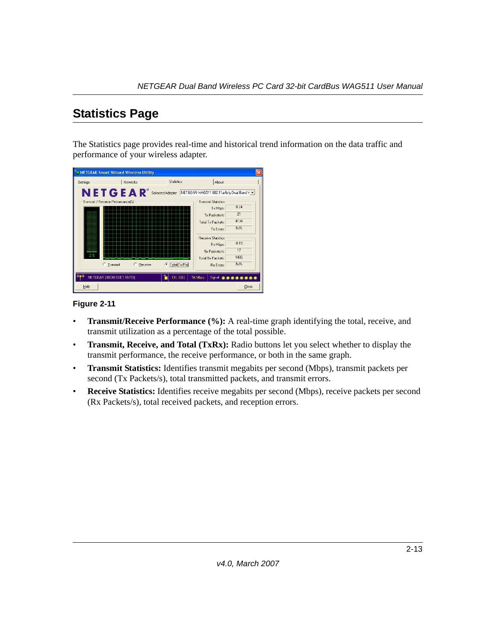### <span id="page-34-0"></span>**Statistics Page**

The Statistics page provides real-time and historical trend information on the data traffic and performance of your wireless adapter.



#### **Figure 2-11**

- **Transmit/Receive Performance (%):** A real-time graph identifying the total, receive, and transmit utilization as a percentage of the total possible.
- **Transmit, Receive, and Total (TxRx):** Radio buttons let you select whether to display the transmit performance, the receive performance, or both in the same graph.
- **Transmit Statistics:** Identifies transmit megabits per second (Mbps), transmit packets per second (Tx Packets/s), total transmitted packets, and transmit errors.
- **Receive Statistics:** Identifies receive megabits per second (Mbps), receive packets per second (Rx Packets/s), total received packets, and reception errors.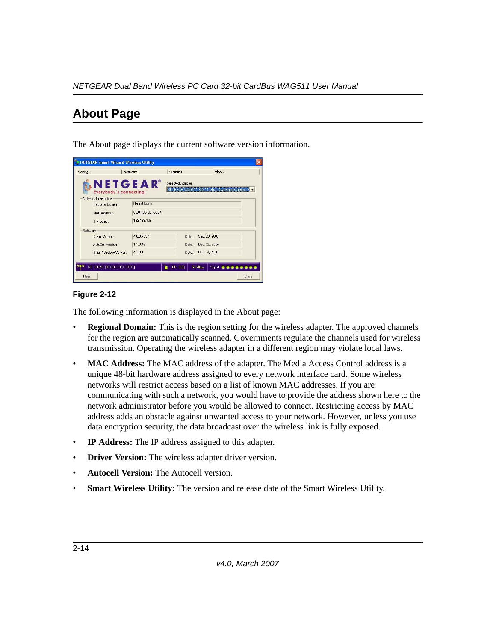## <span id="page-35-0"></span>**About Page**

The About page displays the current software version information.

| Settings                              | <b>Networks</b>          | Statistics        |       | Ahnut                                             |  |  |  |
|---------------------------------------|--------------------------|-------------------|-------|---------------------------------------------------|--|--|--|
|                                       | NETGEAR®                 | Selected Adapter: |       |                                                   |  |  |  |
|                                       | Everybody's connecting." |                   |       | NETGEAR WAG511 802.11a/b/g Dual Band Wireless P x |  |  |  |
| Network Connection                    |                          |                   |       |                                                   |  |  |  |
| Regional Domain:                      | <b>United States</b>     |                   |       |                                                   |  |  |  |
| <b>MAC Address:</b>                   | 00:0F:B5:0D:AA:54        |                   |       |                                                   |  |  |  |
| IP Address:                           | 192.168.1.8              |                   |       |                                                   |  |  |  |
| Software                              |                          |                   |       |                                                   |  |  |  |
| Driver Version:                       | 4.0.0.7097               |                   | Date: | Sep. 28, 2006                                     |  |  |  |
| AutoCell Version:                     | 1.1.0.42                 |                   | Date: | Dec. 22, 2004                                     |  |  |  |
| <b>Smart Wireless Version:</b>        | 4.1.0.1                  |                   | Date: | Oct. 4.2006                                       |  |  |  |
|                                       |                          |                   |       |                                                   |  |  |  |
| (0, 0)<br>NETGEAR (00:D0:59:E1:18:FD) |                          | Ch: 6(G)          |       | 54 Mbps<br>Signal                                 |  |  |  |

#### **Figure 2-12**

The following information is displayed in the About page:

- **Regional Domain:** This is the region setting for the wireless adapter. The approved channels for the region are automatically scanned. Governments regulate the channels used for wireless transmission. Operating the wireless adapter in a different region may violate local laws.
- **MAC Address:** The MAC address of the adapter. The Media Access Control address is a unique 48-bit hardware address assigned to every network interface card. Some wireless networks will restrict access based on a list of known MAC addresses. If you are communicating with such a network, you would have to provide the address shown here to the network administrator before you would be allowed to connect. Restricting access by MAC address adds an obstacle against unwanted access to your network. However, unless you use data encryption security, the data broadcast over the wireless link is fully exposed.
- **IP Address:** The IP address assigned to this adapter.
- **Driver Version:** The wireless adapter driver version.
- **Autocell Version:** The Autocell version.
- **Smart Wireless Utility:** The version and release date of the Smart Wireless Utility.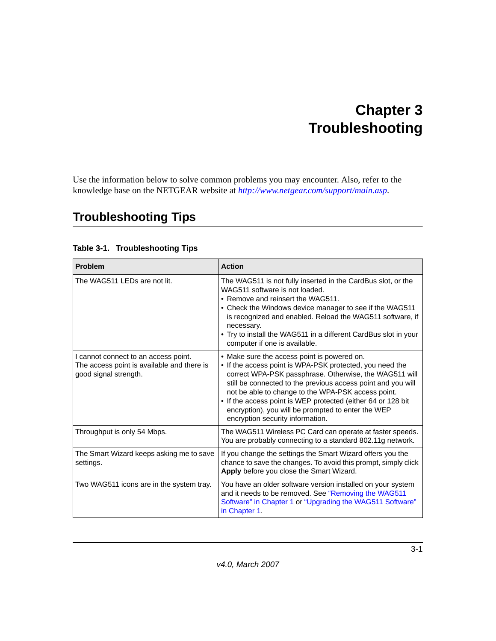## <span id="page-36-2"></span>**Chapter 3 Troubleshooting**

<span id="page-36-0"></span>Use the information below to solve common problems you may encounter. Also, refer to the knowledge base on the NETGEAR website at *<http://www.netgear.com/support/main.asp>*.

## <span id="page-36-1"></span>**Troubleshooting Tips**

| <b>Problem</b>                                                                                              | <b>Action</b>                                                                                                                                                                                                                                                                                                                                                                                                                                     |
|-------------------------------------------------------------------------------------------------------------|---------------------------------------------------------------------------------------------------------------------------------------------------------------------------------------------------------------------------------------------------------------------------------------------------------------------------------------------------------------------------------------------------------------------------------------------------|
| The WAG511 LEDs are not lit.                                                                                | The WAG511 is not fully inserted in the CardBus slot, or the<br>WAG511 software is not loaded.<br>• Remove and reinsert the WAG511.<br>• Check the Windows device manager to see if the WAG511<br>is recognized and enabled. Reload the WAG511 software, if<br>necessary.<br>• Try to install the WAG511 in a different CardBus slot in your<br>computer if one is available.                                                                     |
| I cannot connect to an access point.<br>The access point is available and there is<br>good signal strength. | • Make sure the access point is powered on.<br>• If the access point is WPA-PSK protected, you need the<br>correct WPA-PSK passphrase. Otherwise, the WAG511 will<br>still be connected to the previous access point and you will<br>not be able to change to the WPA-PSK access point.<br>• If the access point is WEP protected (either 64 or 128 bit<br>encryption), you will be prompted to enter the WEP<br>encryption security information. |
| Throughput is only 54 Mbps.                                                                                 | The WAG511 Wireless PC Card can operate at faster speeds.<br>You are probably connecting to a standard 802.11g network.                                                                                                                                                                                                                                                                                                                           |
| The Smart Wizard keeps asking me to save<br>settings.                                                       | If you change the settings the Smart Wizard offers you the<br>chance to save the changes. To avoid this prompt, simply click<br>Apply before you close the Smart Wizard.                                                                                                                                                                                                                                                                          |
| Two WAG511 icons are in the system tray.                                                                    | You have an older software version installed on your system<br>and it needs to be removed. See "Removing the WAG511<br>Software" in Chapter 1 or "Upgrading the WAG511 Software"<br>in Chapter 1.                                                                                                                                                                                                                                                 |

#### **Table 3-1. Troubleshooting Tips**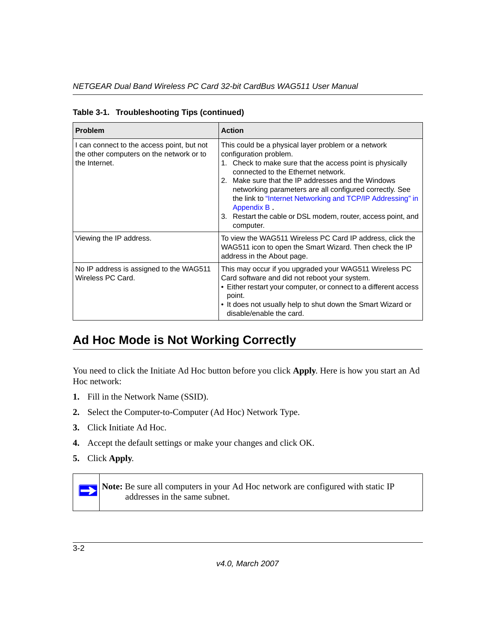|  | Table 3-1. Troubleshooting Tips (continued) |  |
|--|---------------------------------------------|--|
|--|---------------------------------------------|--|

| <b>Problem</b>                                                                                          | <b>Action</b>                                                                                                                                                                                                                                                                                                                                                                                                                                               |
|---------------------------------------------------------------------------------------------------------|-------------------------------------------------------------------------------------------------------------------------------------------------------------------------------------------------------------------------------------------------------------------------------------------------------------------------------------------------------------------------------------------------------------------------------------------------------------|
| I can connect to the access point, but not<br>the other computers on the network or to<br>the Internet. | This could be a physical layer problem or a network<br>configuration problem.<br>1. Check to make sure that the access point is physically<br>connected to the Ethernet network.<br>2. Make sure that the IP addresses and the Windows<br>networking parameters are all configured correctly. See<br>the link to "Internet Networking and TCP/IP Addressing" in<br>Appendix B.<br>3. Restart the cable or DSL modem, router, access point, and<br>computer. |
| Viewing the IP address.                                                                                 | To view the WAG511 Wireless PC Card IP address, click the<br>WAG511 icon to open the Smart Wizard. Then check the IP<br>address in the About page.                                                                                                                                                                                                                                                                                                          |
| No IP address is assigned to the WAG511<br>Wireless PC Card.                                            | This may occur if you upgraded your WAG511 Wireless PC<br>Card software and did not reboot your system.<br>• Either restart your computer, or connect to a different access<br>point.<br>• It does not usually help to shut down the Smart Wizard or<br>disable/enable the card.                                                                                                                                                                            |

## <span id="page-37-0"></span>**Ad Hoc Mode is Not Working Correctly**

You need to click the Initiate Ad Hoc button before you click **Apply**. Here is how you start an Ad Hoc network:

- **1.** Fill in the Network Name (SSID).
- **2.** Select the Computer-to-Computer (Ad Hoc) Network Type.
- **3.** Click Initiate Ad Hoc.
- **4.** Accept the default settings or make your changes and click OK.
- **5.** Click **Apply**.

**Note:** Be sure all computers in your Ad Hoc network are configured with static IP addresses in the same subnet.

 $\rightarrow$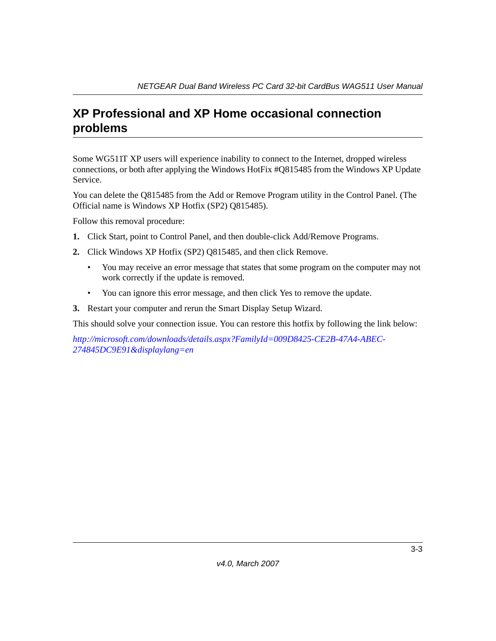## <span id="page-38-0"></span>**XP Professional and XP Home occasional connection problems**

Some WG511T XP users will experience inability to connect to the Internet, dropped wireless connections, or both after applying the Windows HotFix #Q815485 from the Windows XP Update Service.

You can delete the Q815485 from the Add or Remove Program utility in the Control Panel. (The Official name is Windows XP Hotfix (SP2) Q815485).

Follow this removal procedure:

- **1.** Click Start, point to Control Panel, and then double-click Add/Remove Programs.
- **2.** Click Windows XP Hotfix (SP2) Q815485, and then click Remove.
	- You may receive an error message that states that some program on the computer may not work correctly if the update is removed.
	- You can ignore this error message, and then click Yes to remove the update.
- **3.** Restart your computer and rerun the Smart Display Setup Wizard.

This should solve your connection issue. You can restore this hotfix by following the link below:

*[http://microsoft.com/downloads/details.aspx?FamilyId=009D8425-CE2B-47A4-ABEC-](http://microsoft.com/downloads/details.aspx?FamilyId=009D8425-CE2B-47A4-ABEC-274845DC9E91&displaylang=en)[274845DC9E91&displaylang=en](http://microsoft.com/downloads/details.aspx?FamilyId=009D8425-CE2B-47A4-ABEC-274845DC9E91&displaylang=en)*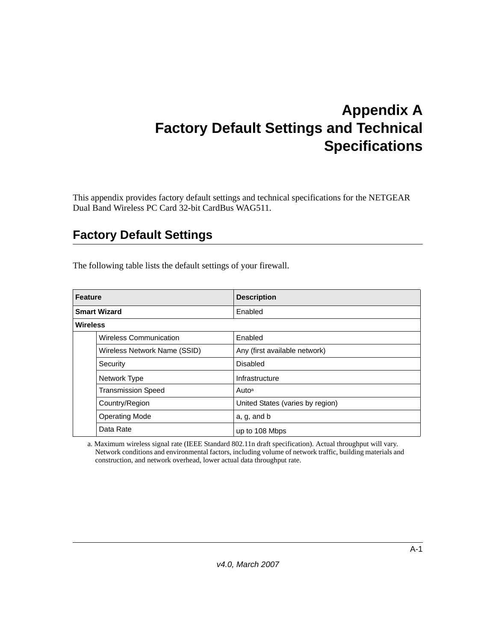## <span id="page-40-0"></span>**Appendix A Factory Default Settings and Technical Specifications**

This appendix provides factory default settings and technical specifications for the NETGEAR Dual Band Wireless PC Card 32-bit CardBus WAG511.

### <span id="page-40-1"></span>**Factory Default Settings**

The following table lists the default settings of your firewall.

| <b>Feature</b>                | <b>Description</b>               |
|-------------------------------|----------------------------------|
| <b>Smart Wizard</b>           | Enabled                          |
| <b>Wireless</b>               |                                  |
| <b>Wireless Communication</b> | Enabled                          |
| Wireless Network Name (SSID)  | Any (first available network)    |
| Security                      | Disabled                         |
| Network Type                  | Infrastructure                   |
| <b>Transmission Speed</b>     | Auto <sup>a</sup>                |
| Country/Region                | United States (varies by region) |
| <b>Operating Mode</b>         | a, g, and b                      |
| Data Rate                     | up to 108 Mbps                   |

a. Maximum wireless signal rate (IEEE Standard 802.11n draft specification). Actual throughput will vary. Network conditions and environmental factors, including volume of network traffic, building materials and construction, and network overhead, lower actual data throughput rate.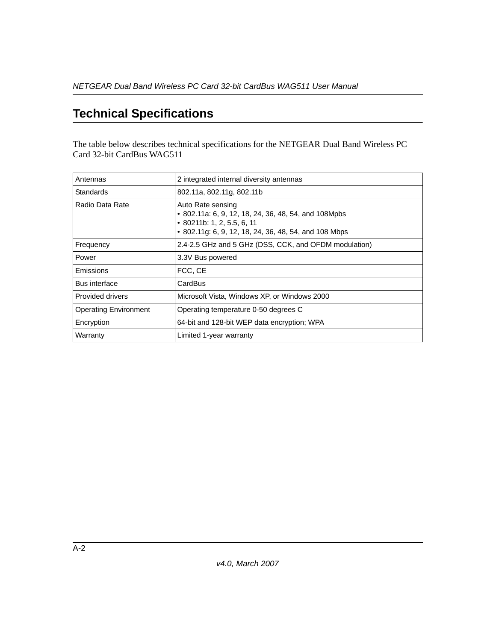## <span id="page-41-0"></span>**Technical Specifications**

The table below describes technical specifications for the NETGEAR Dual Band Wireless PC Card 32-bit CardBus WAG511

| Antennas                     | 2 integrated internal diversity antennas                                                                                                                                 |
|------------------------------|--------------------------------------------------------------------------------------------------------------------------------------------------------------------------|
| Standards                    | 802.11a, 802.11g, 802.11b                                                                                                                                                |
| Radio Data Rate              | Auto Rate sensing<br>• 802.11a: 6, 9, 12, 18, 24, 36, 48, 54, and 108Mpbs<br>$\bullet$ 80211b: 1, 2, 5.5, 6, 11<br>• 802.11g: 6, 9, 12, 18, 24, 36, 48, 54, and 108 Mbps |
| Frequency                    | 2.4-2.5 GHz and 5 GHz (DSS, CCK, and OFDM modulation)                                                                                                                    |
| Power                        | 3.3V Bus powered                                                                                                                                                         |
| Emissions                    | FCC, CE                                                                                                                                                                  |
| Bus interface                | CardBus                                                                                                                                                                  |
| Provided drivers             | Microsoft Vista, Windows XP, or Windows 2000                                                                                                                             |
| <b>Operating Environment</b> | Operating temperature 0-50 degrees C                                                                                                                                     |
| Encryption                   | 64-bit and 128-bit WEP data encryption; WPA                                                                                                                              |
| Warranty                     | Limited 1-year warranty                                                                                                                                                  |